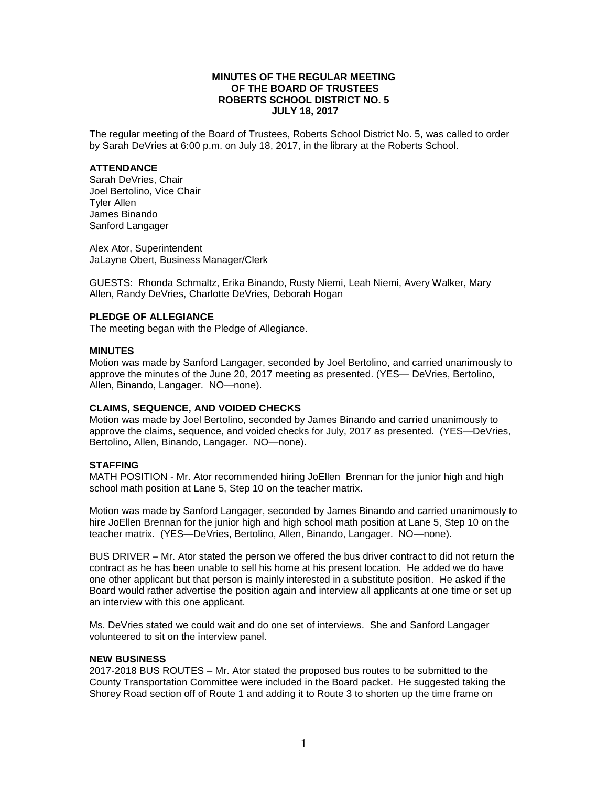## **MINUTES OF THE REGULAR MEETING OF THE BOARD OF TRUSTEES ROBERTS SCHOOL DISTRICT NO. 5 JULY 18, 2017**

The regular meeting of the Board of Trustees, Roberts School District No. 5, was called to order by Sarah DeVries at 6:00 p.m. on July 18, 2017, in the library at the Roberts School.

#### **ATTENDANCE**

Sarah DeVries, Chair Joel Bertolino, Vice Chair Tyler Allen James Binando Sanford Langager

Alex Ator, Superintendent JaLayne Obert, Business Manager/Clerk

GUESTS: Rhonda Schmaltz, Erika Binando, Rusty Niemi, Leah Niemi, Avery Walker, Mary Allen, Randy DeVries, Charlotte DeVries, Deborah Hogan

## **PLEDGE OF ALLEGIANCE**

The meeting began with the Pledge of Allegiance.

#### **MINUTES**

Motion was made by Sanford Langager, seconded by Joel Bertolino, and carried unanimously to approve the minutes of the June 20, 2017 meeting as presented. (YES— DeVries, Bertolino, Allen, Binando, Langager. NO—none).

## **CLAIMS, SEQUENCE, AND VOIDED CHECKS**

Motion was made by Joel Bertolino, seconded by James Binando and carried unanimously to approve the claims, sequence, and voided checks for July, 2017 as presented. (YES—DeVries, Bertolino, Allen, Binando, Langager. NO—none).

#### **STAFFING**

MATH POSITION - Mr. Ator recommended hiring JoEllen Brennan for the junior high and high school math position at Lane 5. Step 10 on the teacher matrix.

Motion was made by Sanford Langager, seconded by James Binando and carried unanimously to hire JoEllen Brennan for the junior high and high school math position at Lane 5, Step 10 on the teacher matrix. (YES—DeVries, Bertolino, Allen, Binando, Langager. NO—none).

BUS DRIVER – Mr. Ator stated the person we offered the bus driver contract to did not return the contract as he has been unable to sell his home at his present location. He added we do have one other applicant but that person is mainly interested in a substitute position. He asked if the Board would rather advertise the position again and interview all applicants at one time or set up an interview with this one applicant.

Ms. DeVries stated we could wait and do one set of interviews. She and Sanford Langager volunteered to sit on the interview panel.

#### **NEW BUSINESS**

2017-2018 BUS ROUTES – Mr. Ator stated the proposed bus routes to be submitted to the County Transportation Committee were included in the Board packet. He suggested taking the Shorey Road section off of Route 1 and adding it to Route 3 to shorten up the time frame on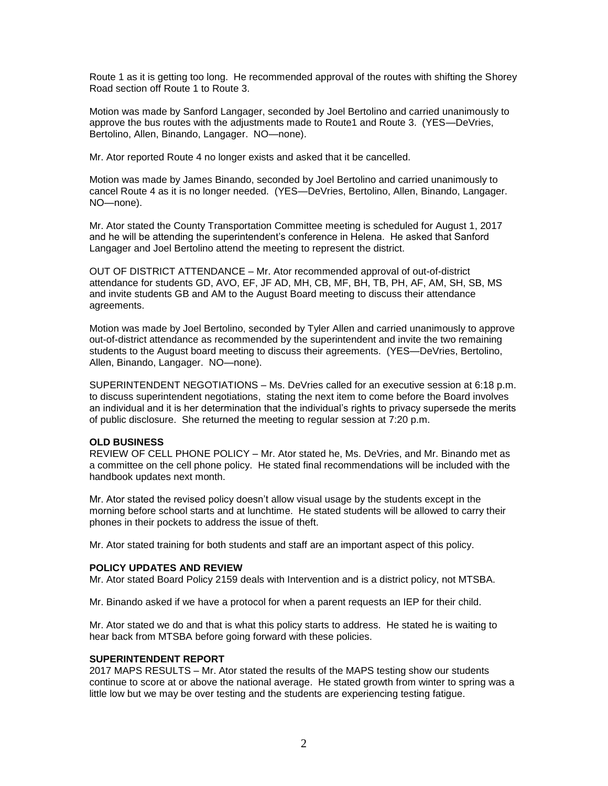Route 1 as it is getting too long. He recommended approval of the routes with shifting the Shorey Road section off Route 1 to Route 3.

Motion was made by Sanford Langager, seconded by Joel Bertolino and carried unanimously to approve the bus routes with the adjustments made to Route1 and Route 3. (YES—DeVries, Bertolino, Allen, Binando, Langager. NO—none).

Mr. Ator reported Route 4 no longer exists and asked that it be cancelled.

Motion was made by James Binando, seconded by Joel Bertolino and carried unanimously to cancel Route 4 as it is no longer needed. (YES—DeVries, Bertolino, Allen, Binando, Langager. NO—none).

Mr. Ator stated the County Transportation Committee meeting is scheduled for August 1, 2017 and he will be attending the superintendent's conference in Helena. He asked that Sanford Langager and Joel Bertolino attend the meeting to represent the district.

OUT OF DISTRICT ATTENDANCE – Mr. Ator recommended approval of out-of-district attendance for students GD, AVO, EF, JF AD, MH, CB, MF, BH, TB, PH, AF, AM, SH, SB, MS and invite students GB and AM to the August Board meeting to discuss their attendance agreements.

Motion was made by Joel Bertolino, seconded by Tyler Allen and carried unanimously to approve out-of-district attendance as recommended by the superintendent and invite the two remaining students to the August board meeting to discuss their agreements. (YES—DeVries, Bertolino, Allen, Binando, Langager. NO—none).

SUPERINTENDENT NEGOTIATIONS – Ms. DeVries called for an executive session at 6:18 p.m. to discuss superintendent negotiations, stating the next item to come before the Board involves an individual and it is her determination that the individual's rights to privacy supersede the merits of public disclosure. She returned the meeting to regular session at 7:20 p.m.

## **OLD BUSINESS**

REVIEW OF CELL PHONE POLICY – Mr. Ator stated he, Ms. DeVries, and Mr. Binando met as a committee on the cell phone policy. He stated final recommendations will be included with the handbook updates next month.

Mr. Ator stated the revised policy doesn't allow visual usage by the students except in the morning before school starts and at lunchtime. He stated students will be allowed to carry their phones in their pockets to address the issue of theft.

Mr. Ator stated training for both students and staff are an important aspect of this policy.

# **POLICY UPDATES AND REVIEW**

Mr. Ator stated Board Policy 2159 deals with Intervention and is a district policy, not MTSBA.

Mr. Binando asked if we have a protocol for when a parent requests an IEP for their child.

Mr. Ator stated we do and that is what this policy starts to address. He stated he is waiting to hear back from MTSBA before going forward with these policies.

## **SUPERINTENDENT REPORT**

2017 MAPS RESULTS – Mr. Ator stated the results of the MAPS testing show our students continue to score at or above the national average. He stated growth from winter to spring was a little low but we may be over testing and the students are experiencing testing fatigue.